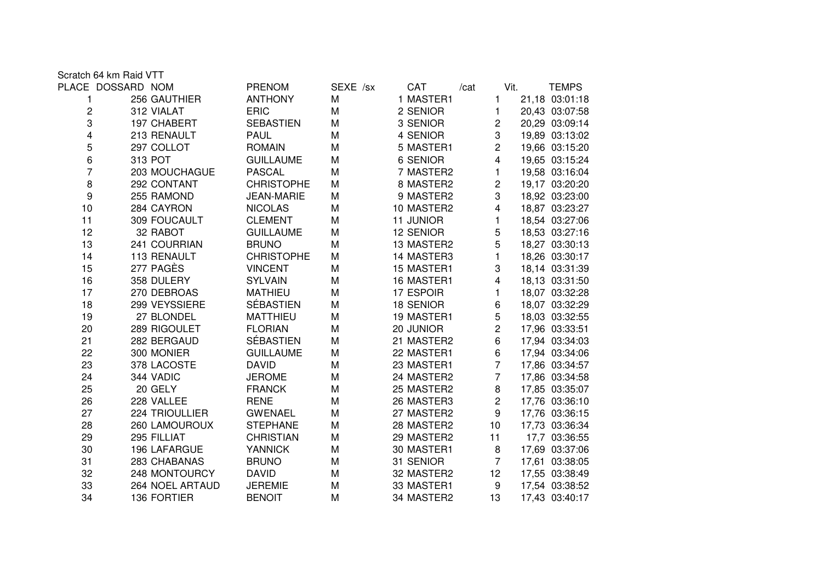Scratch 64 km Raid VTT

|                         | PLACE DOSSARD NOM | <b>PRENOM</b>     | SEXE /sx | CAT              | /cat            | Vit. | TEMPS          |
|-------------------------|-------------------|-------------------|----------|------------------|-----------------|------|----------------|
| 1                       | 256 GAUTHIER      | <b>ANTHONY</b>    | M        | 1 MASTER1        | 1               |      | 21,18 03:01:18 |
| 2                       | 312 VIALAT        | <b>ERIC</b>       | M        | 2 SENIOR         | 1               |      | 20,43 03:07:58 |
| 3                       | 197 CHABERT       | <b>SEBASTIEN</b>  | M        | 3 SENIOR         | $\overline{c}$  |      | 20,29 03:09:14 |
| $\overline{\mathbf{4}}$ | 213 RENAULT       | <b>PAUL</b>       | M        | 4 SENIOR         | 3               |      | 19,89 03:13:02 |
| 5                       | 297 COLLOT        | <b>ROMAIN</b>     | M        | 5 MASTER1        | $\overline{2}$  |      | 19,66 03:15:20 |
| 6                       | 313 POT           | <b>GUILLAUME</b>  | M        | 6 SENIOR         | 4               |      | 19,65 03:15:24 |
| 7                       | 203 MOUCHAGUE     | <b>PASCAL</b>     | M        | 7 MASTER2        | 1.              |      | 19,58 03:16:04 |
| 8                       | 292 CONTANT       | <b>CHRISTOPHE</b> | M        | 8 MASTER2        | $\overline{c}$  |      | 19,17 03:20:20 |
| 9                       | 255 RAMOND        | <b>JEAN-MARIE</b> | M        | 9 MASTER2        | 3               |      | 18,92 03:23:00 |
| 10                      | 284 CAYRON        | <b>NICOLAS</b>    | M        | 10 MASTER2       | 4               |      | 18,87 03:23:27 |
| 11                      | 309 FOUCAULT      | <b>CLEMENT</b>    | M        | 11 JUNIOR        | 1.              |      | 18,54 03:27:06 |
| 12                      | 32 RABOT          | <b>GUILLAUME</b>  | M        | 12 SENIOR        | 5               |      | 18,53 03:27:16 |
| 13                      | 241 COURRIAN      | <b>BRUNO</b>      | M        | 13 MASTER2       | 5               |      | 18,27 03:30:13 |
| 14                      | 113 RENAULT       | <b>CHRISTOPHE</b> | M        | 14 MASTER3       | 1               |      | 18,26 03:30:17 |
| 15                      | 277 PAGÈS         | <b>VINCENT</b>    | M        | 15 MASTER1       | 3               |      | 18,14 03:31:39 |
| 16                      | 358 DULERY        | <b>SYLVAIN</b>    | M        | 16 MASTER1       | 4               |      | 18,13 03:31:50 |
| 17                      | 270 DEBROAS       | <b>MATHIEU</b>    | M        | 17 ESPOIR        | 1               |      | 18,07 03:32:28 |
| 18                      | 299 VEYSSIERE     | <b>SÉBASTIEN</b>  | M        | <b>18 SENIOR</b> | 6               |      | 18,07 03:32:29 |
| 19                      | 27 BLONDEL        | <b>MATTHIEU</b>   | M        | 19 MASTER1       | 5               |      | 18,03 03:32:55 |
| 20                      | 289 RIGOULET      | <b>FLORIAN</b>    | M        | 20 JUNIOR        | $\overline{2}$  |      | 17,96 03:33:51 |
| 21                      | 282 BERGAUD       | <b>SÉBASTIEN</b>  | M        | 21 MASTER2       | 6               |      | 17,94 03:34:03 |
| 22                      | 300 MONIER        | <b>GUILLAUME</b>  | M        | 22 MASTER1       | 6               |      | 17,94 03:34:06 |
| 23                      | 378 LACOSTE       | <b>DAVID</b>      | M        | 23 MASTER1       | $\overline{7}$  |      | 17,86 03:34:57 |
| 24                      | 344 VADIC         | <b>JEROME</b>     | M        | 24 MASTER2       | $\overline{7}$  |      | 17,86 03:34:58 |
| 25                      | 20 GELY           | <b>FRANCK</b>     | M        | 25 MASTER2       | 8               |      | 17,85 03:35:07 |
| 26                      | 228 VALLEE        | <b>RENE</b>       | M        | 26 MASTER3       | $\overline{2}$  |      | 17,76 03:36:10 |
| 27                      | 224 TRIOULLIER    | <b>GWENAEL</b>    | M        | 27 MASTER2       | 9               |      | 17,76 03:36:15 |
| 28                      | 260 LAMOUROUX     | <b>STEPHANE</b>   | M        | 28 MASTER2       | 10 <sup>1</sup> |      | 17,73 03:36:34 |
| 29                      | 295 FILLIAT       | <b>CHRISTIAN</b>  | M        | 29 MASTER2       | 11              |      | 17,7 03:36:55  |
| 30                      | 196 LAFARGUE      | <b>YANNICK</b>    | M        | 30 MASTER1       | $\bf 8$         |      | 17,69 03:37:06 |
| 31                      | 283 CHABANAS      | <b>BRUNO</b>      | M        | 31 SENIOR        | $\overline{7}$  |      | 17,61 03:38:05 |
| 32                      | 248 MONTOURCY     | <b>DAVID</b>      | M        | 32 MASTER2       | 12 <sub>2</sub> |      | 17,55 03:38:49 |
| 33                      | 264 NOEL ARTAUD   | <b>JEREMIE</b>    | M        | 33 MASTER1       | 9               |      | 17,54 03:38:52 |
| 34                      | 136 FORTIER       | <b>BENOIT</b>     | M        | 34 MASTER2       | 13              |      | 17,43 03:40:17 |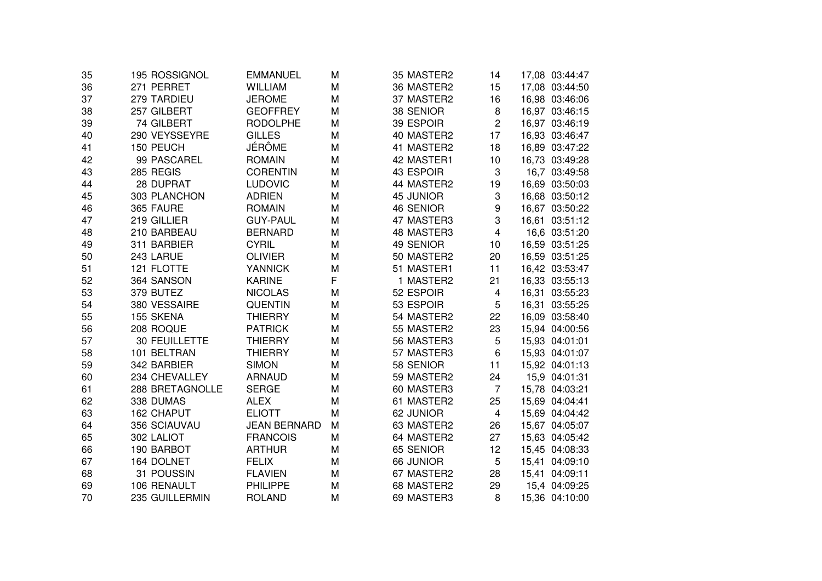| 35 | 195 ROSSIGNOL   | EMMANUEL            | м | 35 MASTER2       | 14                      | 17,08 03:44:47 |
|----|-----------------|---------------------|---|------------------|-------------------------|----------------|
| 36 | 271 PERRET      | <b>WILLIAM</b>      | M | 36 MASTER2       | 15                      | 17,08 03:44:50 |
| 37 | 279 TARDIEU     | <b>JEROME</b>       | M | 37 MASTER2       | 16                      | 16,98 03:46:06 |
| 38 | 257 GILBERT     | <b>GEOFFREY</b>     | M | 38 SENIOR        | 8                       | 16,97 03:46:15 |
| 39 | 74 GILBERT      | <b>RODOLPHE</b>     | M | 39 ESPOIR        | $\overline{c}$          | 16,97 03:46:19 |
| 40 | 290 VEYSSEYRE   | <b>GILLES</b>       | M | 40 MASTER2       | 17                      | 16,93 03:46:47 |
| 41 | 150 PEUCH       | <b>JÉRÔME</b>       | M | 41 MASTER2       | 18                      | 16,89 03:47:22 |
| 42 | 99 PASCAREL     | <b>ROMAIN</b>       | M | 42 MASTER1       | 10                      | 16,73 03:49:28 |
| 43 | 285 REGIS       | <b>CORENTIN</b>     | M | 43 ESPOIR        | 3                       | 16,7 03:49:58  |
| 44 | 28 DUPRAT       | <b>LUDOVIC</b>      | M | 44 MASTER2       | 19                      | 16,69 03:50:03 |
| 45 | 303 PLANCHON    | <b>ADRIEN</b>       | М | <b>45 JUNIOR</b> | 3                       | 16,68 03:50:12 |
| 46 | 365 FAURE       | <b>ROMAIN</b>       | М | 46 SENIOR        | 9                       | 16,67 03:50:22 |
| 47 | 219 GILLIER     | <b>GUY-PAUL</b>     | M | 47 MASTER3       | 3                       | 16,61 03:51:12 |
| 48 | 210 BARBEAU     | <b>BERNARD</b>      | M | 48 MASTER3       | $\overline{4}$          | 16,6 03:51:20  |
| 49 | 311 BARBIER     | <b>CYRIL</b>        | M | 49 SENIOR        | 10                      | 16,59 03:51:25 |
| 50 | 243 LARUE       | <b>OLIVIER</b>      | M | 50 MASTER2       | 20                      | 16,59 03:51:25 |
| 51 | 121 FLOTTE      | <b>YANNICK</b>      | M | 51 MASTER1       | 11                      | 16,42 03:53:47 |
| 52 | 364 SANSON      | <b>KARINE</b>       | F | 1 MASTER2        | 21                      | 16,33 03:55:13 |
| 53 | 379 BUTEZ       | <b>NICOLAS</b>      | M | 52 ESPOIR        | 4                       | 16,31 03:55:23 |
| 54 | 380 VESSAIRE    | <b>QUENTIN</b>      | М | 53 ESPOIR        | 5                       | 16,31 03:55:25 |
| 55 | 155 SKENA       | <b>THIERRY</b>      | M | 54 MASTER2       | 22                      | 16,09 03:58:40 |
| 56 | 208 ROQUE       | <b>PATRICK</b>      | М | 55 MASTER2       | 23                      | 15,94 04:00:56 |
| 57 | 30 FEUILLETTE   | <b>THIERRY</b>      | M | 56 MASTER3       | 5                       | 15,93 04:01:01 |
| 58 | 101 BELTRAN     | <b>THIERRY</b>      | M | 57 MASTER3       | 6                       | 15,93 04:01:07 |
| 59 | 342 BARBIER     | <b>SIMON</b>        | M | 58 SENIOR        | 11                      | 15,92 04:01:13 |
| 60 | 234 CHEVALLEY   | <b>ARNAUD</b>       | M | 59 MASTER2       | 24                      | 15,9 04:01:31  |
| 61 | 288 BRETAGNOLLE | <b>SERGE</b>        | M | 60 MASTER3       | $\overline{7}$          | 15,78 04:03:21 |
| 62 | 338 DUMAS       | <b>ALEX</b>         | M | 61 MASTER2       | 25                      | 15,69 04:04:41 |
| 63 | 162 CHAPUT      | <b>ELIOTT</b>       | M | 62 JUNIOR        | $\overline{\mathbf{4}}$ | 15,69 04:04:42 |
| 64 | 356 SCIAUVAU    | <b>JEAN BERNARD</b> | М | 63 MASTER2       | 26                      | 15,67 04:05:07 |
| 65 | 302 LALIOT      | <b>FRANCOIS</b>     | M | 64 MASTER2       | 27                      | 15,63 04:05:42 |
| 66 | 190 BARBOT      | <b>ARTHUR</b>       | М | 65 SENIOR        | 12                      | 15,45 04:08:33 |
| 67 | 164 DOLNET      | <b>FELIX</b>        | М | 66 JUNIOR        | 5                       | 15,41 04:09:10 |
| 68 | 31 POUSSIN      | <b>FLAVIEN</b>      | М | 67 MASTER2       | 28                      | 15,41 04:09:11 |
| 69 | 106 RENAULT     | <b>PHILIPPE</b>     | М | 68 MASTER2       | 29                      | 15,4 04:09:25  |
| 70 | 235 GUILLERMIN  | <b>ROLAND</b>       | M | 69 MASTER3       | 8                       | 15,36 04:10:00 |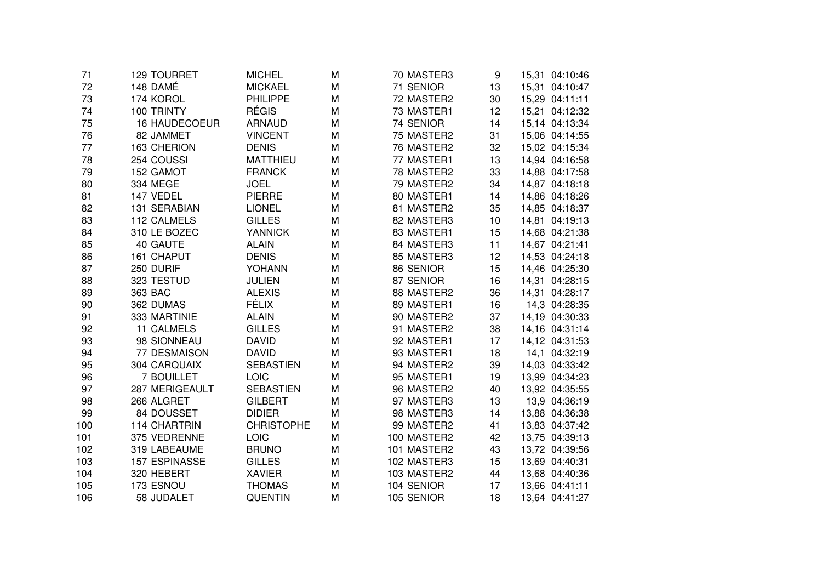| 71  | <b>129 TOURRET</b>   | <b>MICHEL</b>     | M | 70 MASTER3  | 9  | 15,31 04:10:46 |
|-----|----------------------|-------------------|---|-------------|----|----------------|
| 72  | 148 DAMÉ             | <b>MICKAEL</b>    | M | 71 SENIOR   | 13 | 15,31 04:10:47 |
| 73  | 174 KOROL            | <b>PHILIPPE</b>   | M | 72 MASTER2  | 30 | 15,29 04:11:11 |
| 74  | 100 TRINTY           | <b>RÉGIS</b>      | M | 73 MASTER1  | 12 | 15,21 04:12:32 |
| 75  | <b>16 HAUDECOEUR</b> | <b>ARNAUD</b>     | M | 74 SENIOR   | 14 | 15,14 04:13:34 |
| 76  | 82 JAMMET            | <b>VINCENT</b>    | M | 75 MASTER2  | 31 | 15,06 04:14:55 |
| 77  | 163 CHERION          | <b>DENIS</b>      | M | 76 MASTER2  | 32 | 15,02 04:15:34 |
| 78  | 254 COUSSI           | <b>MATTHIEU</b>   | М | 77 MASTER1  | 13 | 14,94 04:16:58 |
| 79  | 152 GAMOT            | <b>FRANCK</b>     | M | 78 MASTER2  | 33 | 14,88 04:17:58 |
| 80  | 334 MEGE             | <b>JOEL</b>       | М | 79 MASTER2  | 34 | 14,87 04:18:18 |
| 81  | 147 VEDEL            | <b>PIERRE</b>     | M | 80 MASTER1  | 14 | 14,86 04:18:26 |
| 82  | 131 SERABIAN         | <b>LIONEL</b>     | M | 81 MASTER2  | 35 | 14,85 04:18:37 |
| 83  | 112 CALMELS          | <b>GILLES</b>     | M | 82 MASTER3  | 10 | 14,81 04:19:13 |
| 84  | 310 LE BOZEC         | <b>YANNICK</b>    | M | 83 MASTER1  | 15 | 14,68 04:21:38 |
| 85  | 40 GAUTE             | <b>ALAIN</b>      | M | 84 MASTER3  | 11 | 14,67 04:21:41 |
| 86  | 161 CHAPUT           | <b>DENIS</b>      | M | 85 MASTER3  | 12 | 14,53 04:24:18 |
| 87  | 250 DURIF            | YOHANN            | M | 86 SENIOR   | 15 | 14,46 04:25:30 |
| 88  | 323 TESTUD           | <b>JULIEN</b>     | M | 87 SENIOR   | 16 | 14,31 04:28:15 |
| 89  | 363 BAC              | <b>ALEXIS</b>     | M | 88 MASTER2  | 36 | 14,31 04:28:17 |
| 90  | 362 DUMAS            | <b>FÉLIX</b>      | M | 89 MASTER1  | 16 | 14,3 04:28:35  |
| 91  | 333 MARTINIE         | <b>ALAIN</b>      | M | 90 MASTER2  | 37 | 14,19 04:30:33 |
| 92  | <b>11 CALMELS</b>    | <b>GILLES</b>     | М | 91 MASTER2  | 38 | 14,16 04:31:14 |
| 93  | 98 SIONNEAU          | <b>DAVID</b>      | M | 92 MASTER1  | 17 | 14,12 04:31:53 |
| 94  | 77 DESMAISON         | <b>DAVID</b>      | M | 93 MASTER1  | 18 | 14,1 04:32:19  |
| 95  | 304 CARQUAIX         | <b>SEBASTIEN</b>  | M | 94 MASTER2  | 39 | 14,03 04:33:42 |
| 96  | 7 BOUILLET           | LOIC              | M | 95 MASTER1  | 19 | 13,99 04:34:23 |
| 97  | 287 MERIGEAULT       | <b>SEBASTIEN</b>  | M | 96 MASTER2  | 40 | 13,92 04:35:55 |
| 98  | 266 ALGRET           | <b>GILBERT</b>    | M | 97 MASTER3  | 13 | 13,9 04:36:19  |
| 99  | 84 DOUSSET           | <b>DIDIER</b>     | M | 98 MASTER3  | 14 | 13,88 04:36:38 |
| 100 | <b>114 CHARTRIN</b>  | <b>CHRISTOPHE</b> | M | 99 MASTER2  | 41 | 13,83 04:37:42 |
| 101 | 375 VEDRENNE         | LOIC              | M | 100 MASTER2 | 42 | 13,75 04:39:13 |
| 102 | 319 LABEAUME         | <b>BRUNO</b>      | M | 101 MASTER2 | 43 | 13,72 04:39:56 |
| 103 | 157 ESPINASSE        | <b>GILLES</b>     | M | 102 MASTER3 | 15 | 13,69 04:40:31 |
| 104 | 320 HEBERT           | <b>XAVIER</b>     | М | 103 MASTER2 | 44 | 13,68 04:40:36 |
| 105 | 173 ESNOU            | <b>THOMAS</b>     | M | 104 SENIOR  | 17 | 13,66 04:41:11 |
| 106 | 58 JUDALET           | <b>QUENTIN</b>    | M | 105 SENIOR  | 18 | 13,64 04:41:27 |
|     |                      |                   |   |             |    |                |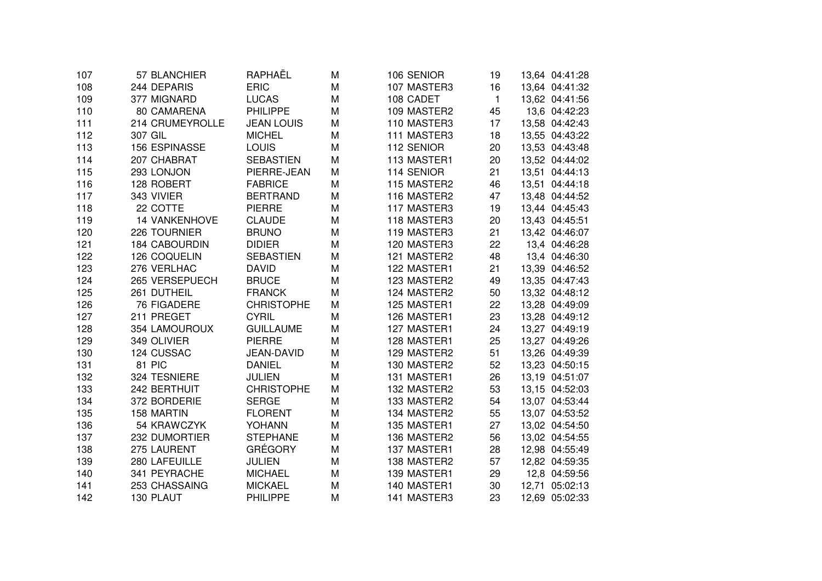| 107 | 57 BLANCHIER         | RAPHAËL           | M | 106 SENIOR  | 19           | 13,64 04:41:28 |               |
|-----|----------------------|-------------------|---|-------------|--------------|----------------|---------------|
| 108 | 244 DEPARIS          | <b>ERIC</b>       | M | 107 MASTER3 | 16           | 13,64 04:41:32 |               |
| 109 | 377 MIGNARD          | <b>LUCAS</b>      | M | 108 CADET   | $\mathbf{1}$ | 13,62 04:41:56 |               |
| 110 | 80 CAMARENA          | <b>PHILIPPE</b>   | M | 109 MASTER2 | 45           |                | 13,6 04:42:23 |
| 111 | 214 CRUMEYROLLE      | <b>JEAN LOUIS</b> | M | 110 MASTER3 | 17           | 13,58 04:42:43 |               |
| 112 | 307 GIL              | <b>MICHEL</b>     | M | 111 MASTER3 | 18           | 13,55 04:43:22 |               |
| 113 | <b>156 ESPINASSE</b> | <b>LOUIS</b>      | M | 112 SENIOR  | 20           | 13,53 04:43:48 |               |
| 114 | 207 CHABRAT          | <b>SEBASTIEN</b>  | M | 113 MASTER1 | 20           | 13,52 04:44:02 |               |
| 115 | 293 LONJON           | PIERRE-JEAN       | M | 114 SENIOR  | 21           | 13,51 04:44:13 |               |
| 116 | 128 ROBERT           | <b>FABRICE</b>    | M | 115 MASTER2 | 46           | 13,51 04:44:18 |               |
| 117 | 343 VIVIER           | <b>BERTRAND</b>   | M | 116 MASTER2 | 47           | 13,48 04:44:52 |               |
| 118 | 22 COTTE             | <b>PIERRE</b>     | M | 117 MASTER3 | 19           | 13,44 04:45:43 |               |
| 119 | <b>14 VANKENHOVE</b> | <b>CLAUDE</b>     | M | 118 MASTER3 | 20           | 13,43 04:45:51 |               |
| 120 | 226 TOURNIER         | <b>BRUNO</b>      | M | 119 MASTER3 | 21           | 13,42 04:46:07 |               |
| 121 | <b>184 CABOURDIN</b> | <b>DIDIER</b>     | M | 120 MASTER3 | 22           |                | 13,4 04:46:28 |
| 122 | 126 COQUELIN         | <b>SEBASTIEN</b>  | M | 121 MASTER2 | 48           |                | 13,4 04:46:30 |
| 123 | 276 VERLHAC          | <b>DAVID</b>      | M | 122 MASTER1 | 21           | 13,39 04:46:52 |               |
| 124 | 265 VERSEPUECH       | <b>BRUCE</b>      | M | 123 MASTER2 | 49           | 13,35 04:47:43 |               |
| 125 | 261 DUTHEIL          | <b>FRANCK</b>     | M | 124 MASTER2 | 50           | 13,32 04:48:12 |               |
| 126 | <b>76 FIGADERE</b>   | <b>CHRISTOPHE</b> | M | 125 MASTER1 | 22           | 13,28 04:49:09 |               |
| 127 | 211 PREGET           | <b>CYRIL</b>      | M | 126 MASTER1 | 23           | 13,28 04:49:12 |               |
| 128 | 354 LAMOUROUX        | <b>GUILLAUME</b>  | M | 127 MASTER1 | 24           | 13,27 04:49:19 |               |
| 129 | 349 OLIVIER          | <b>PIERRE</b>     | M | 128 MASTER1 | 25           | 13,27 04:49:26 |               |
| 130 | 124 CUSSAC           | JEAN-DAVID        | M | 129 MASTER2 | 51           | 13,26 04:49:39 |               |
| 131 | 81 PIC               | <b>DANIEL</b>     | M | 130 MASTER2 | 52           | 13,23 04:50:15 |               |
| 132 | 324 TESNIERE         | <b>JULIEN</b>     | M | 131 MASTER1 | 26           | 13,19 04:51:07 |               |
| 133 | 242 BERTHUIT         | <b>CHRISTOPHE</b> | M | 132 MASTER2 | 53           | 13,15 04:52:03 |               |
| 134 | 372 BORDERIE         | <b>SERGE</b>      | M | 133 MASTER2 | 54           | 13,07 04:53:44 |               |
| 135 | 158 MARTIN           | <b>FLORENT</b>    | M | 134 MASTER2 | 55           | 13,07 04:53:52 |               |
| 136 | 54 KRAWCZYK          | YOHANN            | M | 135 MASTER1 | 27           | 13,02 04:54:50 |               |
| 137 | 232 DUMORTIER        | <b>STEPHANE</b>   | M | 136 MASTER2 | 56           | 13,02 04:54:55 |               |
| 138 | 275 LAURENT          | <b>GRÉGORY</b>    | M | 137 MASTER1 | 28           | 12,98 04:55:49 |               |
| 139 | 280 LAFEUILLE        | <b>JULIEN</b>     | M | 138 MASTER2 | 57           | 12,82 04:59:35 |               |
| 140 | 341 PEYRACHE         | <b>MICHAEL</b>    | M | 139 MASTER1 | 29           |                | 12,8 04:59:56 |
| 141 | 253 CHASSAING        | <b>MICKAEL</b>    | M | 140 MASTER1 | 30           | 12,71 05:02:13 |               |
| 142 | 130 PLAUT            | <b>PHILIPPE</b>   | M | 141 MASTER3 | 23           | 12,69 05:02:33 |               |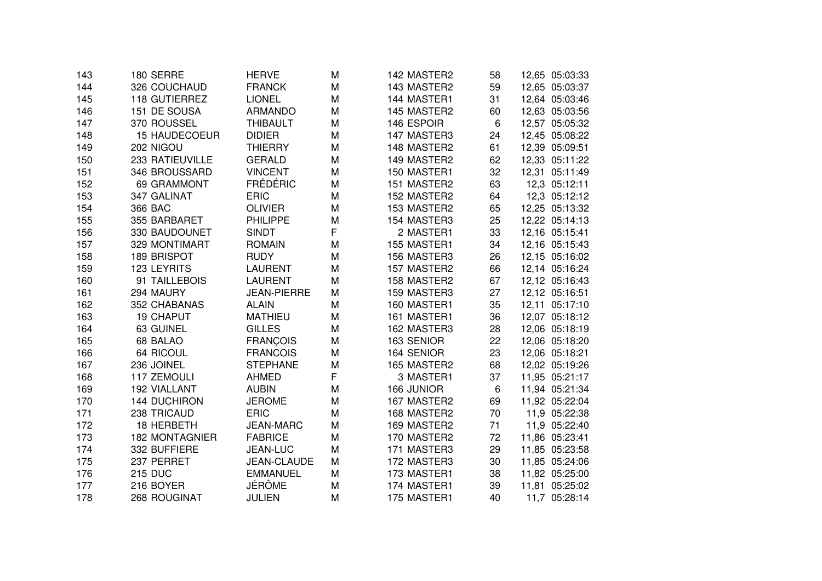| 143 | 180 SERRE             | <b>HERVE</b>       | M | 142 MASTER2 | 58 | 12,65 05:03:33 |
|-----|-----------------------|--------------------|---|-------------|----|----------------|
| 144 | 326 COUCHAUD          | <b>FRANCK</b>      | M | 143 MASTER2 | 59 | 12,65 05:03:37 |
| 145 | 118 GUTIERREZ         | <b>LIONEL</b>      | M | 144 MASTER1 | 31 | 12,64 05:03:46 |
| 146 | 151 DE SOUSA          | <b>ARMANDO</b>     | M | 145 MASTER2 | 60 | 12,63 05:03:56 |
| 147 | 370 ROUSSEL           | <b>THIBAULT</b>    | M | 146 ESPOIR  | 6  | 12,57 05:05:32 |
| 148 | <b>15 HAUDECOEUR</b>  | <b>DIDIER</b>      | M | 147 MASTER3 | 24 | 12,45 05:08:22 |
| 149 | 202 NIGOU             | <b>THIERRY</b>     | M | 148 MASTER2 | 61 | 12,39 05:09:51 |
| 150 | 233 RATIEUVILLE       | <b>GERALD</b>      | M | 149 MASTER2 | 62 | 12,33 05:11:22 |
| 151 | 346 BROUSSARD         | <b>VINCENT</b>     | M | 150 MASTER1 | 32 | 12,31 05:11:49 |
| 152 | 69 GRAMMONT           | <b>FRÉDÉRIC</b>    | M | 151 MASTER2 | 63 | 12,3 05:12:11  |
| 153 | 347 GALINAT           | <b>ERIC</b>        | M | 152 MASTER2 | 64 | 12,3 05:12:12  |
| 154 | 366 BAC               | <b>OLIVIER</b>     | M | 153 MASTER2 | 65 | 12,25 05:13:32 |
| 155 | 355 BARBARET          | <b>PHILIPPE</b>    | M | 154 MASTER3 | 25 | 12,22 05:14:13 |
| 156 | 330 BAUDOUNET         | <b>SINDT</b>       | F | 2 MASTER1   | 33 | 12,16 05:15:41 |
| 157 | 329 MONTIMART         | <b>ROMAIN</b>      | M | 155 MASTER1 | 34 | 12,16 05:15:43 |
| 158 | <b>189 BRISPOT</b>    | <b>RUDY</b>        | M | 156 MASTER3 | 26 | 12,15 05:16:02 |
| 159 | 123 LEYRITS           | <b>LAURENT</b>     | M | 157 MASTER2 | 66 | 12,14 05:16:24 |
| 160 | 91 TAILLEBOIS         | <b>LAURENT</b>     | M | 158 MASTER2 | 67 | 12,12 05:16:43 |
| 161 | 294 MAURY             | <b>JEAN-PIERRE</b> | M | 159 MASTER3 | 27 | 12,12 05:16:51 |
| 162 | 352 CHABANAS          | <b>ALAIN</b>       | M | 160 MASTER1 | 35 | 12,11 05:17:10 |
| 163 | <b>19 CHAPUT</b>      | <b>MATHIEU</b>     | M | 161 MASTER1 | 36 | 12,07 05:18:12 |
| 164 | 63 GUINEL             | <b>GILLES</b>      | M | 162 MASTER3 | 28 | 12,06 05:18:19 |
| 165 | 68 BALAO              | <b>FRANÇOIS</b>    | M | 163 SENIOR  | 22 | 12,06 05:18:20 |
| 166 | 64 RICOUL             | <b>FRANCOIS</b>    | M | 164 SENIOR  | 23 | 12,06 05:18:21 |
| 167 | 236 JOINEL            | <b>STEPHANE</b>    | M | 165 MASTER2 | 68 | 12,02 05:19:26 |
| 168 | 117 ZEMOULI           | <b>AHMED</b>       | F | 3 MASTER1   | 37 | 11,95 05:21:17 |
| 169 | 192 VIALLANT          | <b>AUBIN</b>       | M | 166 JUNIOR  | 6  | 11,94 05:21:34 |
| 170 | <b>144 DUCHIRON</b>   | <b>JEROME</b>      | M | 167 MASTER2 | 69 | 11,92 05:22:04 |
| 171 | 238 TRICAUD           | <b>ERIC</b>        | M | 168 MASTER2 | 70 | 11,9 05:22:38  |
| 172 | 18 HERBETH            | <b>JEAN-MARC</b>   | M | 169 MASTER2 | 71 | 11,9 05:22:40  |
| 173 | <b>182 MONTAGNIER</b> | <b>FABRICE</b>     | M | 170 MASTER2 | 72 | 11,86 05:23:41 |
| 174 | 332 BUFFIERE          | JEAN-LUC           | M | 171 MASTER3 | 29 | 11,85 05:23:58 |
| 175 | 237 PERRET            | JEAN-CLAUDE        | M | 172 MASTER3 | 30 | 11,85 05:24:06 |
| 176 | <b>215 DUC</b>        | <b>EMMANUEL</b>    | M | 173 MASTER1 | 38 | 11,82 05:25:00 |
| 177 | 216 BOYER             | JÉRÔME             | M | 174 MASTER1 | 39 | 11,81 05:25:02 |
| 178 | 268 ROUGINAT          | <b>JULIEN</b>      | M | 175 MASTER1 | 40 | 11,7 05:28:14  |
|     |                       |                    |   |             |    |                |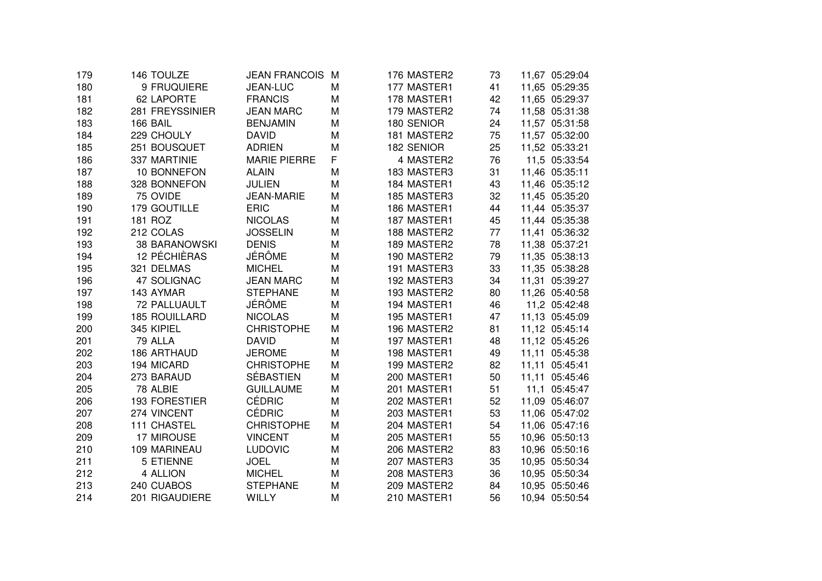| 179 | 146 TOULZE           | <b>JEAN FRANCOIS</b> | м | 176 MASTER2 | 73 | 11,67 05:29:04 |
|-----|----------------------|----------------------|---|-------------|----|----------------|
| 180 | 9 FRUQUIERE          | JEAN-LUC             | M | 177 MASTER1 | 41 | 11,65 05:29:35 |
| 181 | 62 LAPORTE           | <b>FRANCIS</b>       | M | 178 MASTER1 | 42 | 11,65 05:29:37 |
| 182 | 281 FREYSSINIER      | <b>JEAN MARC</b>     | M | 179 MASTER2 | 74 | 11,58 05:31:38 |
| 183 | 166 BAIL             | <b>BENJAMIN</b>      | M | 180 SENIOR  | 24 | 11,57 05:31:58 |
| 184 | 229 CHOULY           | <b>DAVID</b>         | M | 181 MASTER2 | 75 | 11,57 05:32:00 |
| 185 | 251 BOUSQUET         | <b>ADRIEN</b>        | M | 182 SENIOR  | 25 | 11,52 05:33:21 |
| 186 | 337 MARTINIE         | <b>MARIE PIERRE</b>  | F | 4 MASTER2   | 76 | 11,5 05:33:54  |
| 187 | 10 BONNEFON          | <b>ALAIN</b>         | M | 183 MASTER3 | 31 | 11,46 05:35:11 |
| 188 | 328 BONNEFON         | <b>JULIEN</b>        | M | 184 MASTER1 | 43 | 11,46 05:35:12 |
| 189 | 75 OVIDE             | <b>JEAN-MARIE</b>    | M | 185 MASTER3 | 32 | 11,45 05:35:20 |
| 190 | 179 GOUTILLE         | <b>ERIC</b>          | M | 186 MASTER1 | 44 | 11,44 05:35:37 |
| 191 | 181 ROZ              | <b>NICOLAS</b>       | M | 187 MASTER1 | 45 | 11,44 05:35:38 |
| 192 | 212 COLAS            | <b>JOSSELIN</b>      | M | 188 MASTER2 | 77 | 11,41 05:36:32 |
| 193 | <b>38 BARANOWSKI</b> | <b>DENIS</b>         | M | 189 MASTER2 | 78 | 11,38 05:37:21 |
| 194 | 12 PÉCHIÈRAS         | <b>JÉRÔME</b>        | M | 190 MASTER2 | 79 | 11,35 05:38:13 |
| 195 | 321 DELMAS           | <b>MICHEL</b>        | M | 191 MASTER3 | 33 | 11,35 05:38:28 |
| 196 | 47 SOLIGNAC          | <b>JEAN MARC</b>     | M | 192 MASTER3 | 34 | 11,31 05:39:27 |
| 197 | 143 AYMAR            | <b>STEPHANE</b>      | M | 193 MASTER2 | 80 | 11,26 05:40:58 |
| 198 | 72 PALLUAULT         | JÉRÔME               | M | 194 MASTER1 | 46 | 11,2 05:42:48  |
| 199 | <b>185 ROUILLARD</b> | <b>NICOLAS</b>       | M | 195 MASTER1 | 47 | 11,13 05:45:09 |
| 200 | 345 KIPIEL           | <b>CHRISTOPHE</b>    | M | 196 MASTER2 | 81 | 11,12 05:45:14 |
| 201 | 79 ALLA              | <b>DAVID</b>         | M | 197 MASTER1 | 48 | 11,12 05:45:26 |
| 202 | 186 ARTHAUD          | <b>JEROME</b>        | M | 198 MASTER1 | 49 | 11,11 05:45:38 |
| 203 | 194 MICARD           | <b>CHRISTOPHE</b>    | M | 199 MASTER2 | 82 | 11,11 05:45:41 |
| 204 | 273 BARAUD           | <b>SÉBASTIEN</b>     | M | 200 MASTER1 | 50 | 11,11 05:45:46 |
| 205 | 78 ALBIE             | <b>GUILLAUME</b>     | M | 201 MASTER1 | 51 | 11,1 05:45:47  |
| 206 | <b>193 FORESTIER</b> | <b>CÉDRIC</b>        | M | 202 MASTER1 | 52 | 11,09 05:46:07 |
| 207 | 274 VINCENT          | <b>CÉDRIC</b>        | M | 203 MASTER1 | 53 | 11,06 05:47:02 |
| 208 | 111 CHASTEL          | <b>CHRISTOPHE</b>    | M | 204 MASTER1 | 54 | 11,06 05:47:16 |
| 209 | 17 MIROUSE           | <b>VINCENT</b>       | M | 205 MASTER1 | 55 | 10,96 05:50:13 |
| 210 | 109 MARINEAU         | <b>LUDOVIC</b>       | M | 206 MASTER2 | 83 | 10,96 05:50:16 |
| 211 | 5 ETIENNE            | <b>JOEL</b>          | M | 207 MASTER3 | 35 | 10,95 05:50:34 |
| 212 | 4 ALLION             | <b>MICHEL</b>        | M | 208 MASTER3 | 36 | 10,95 05:50:34 |
| 213 | 240 CUABOS           | <b>STEPHANE</b>      | M | 209 MASTER2 | 84 | 10,95 05:50:46 |
| 214 | 201 RIGAUDIERE       | WILLY                | M | 210 MASTER1 | 56 | 10,94 05:50:54 |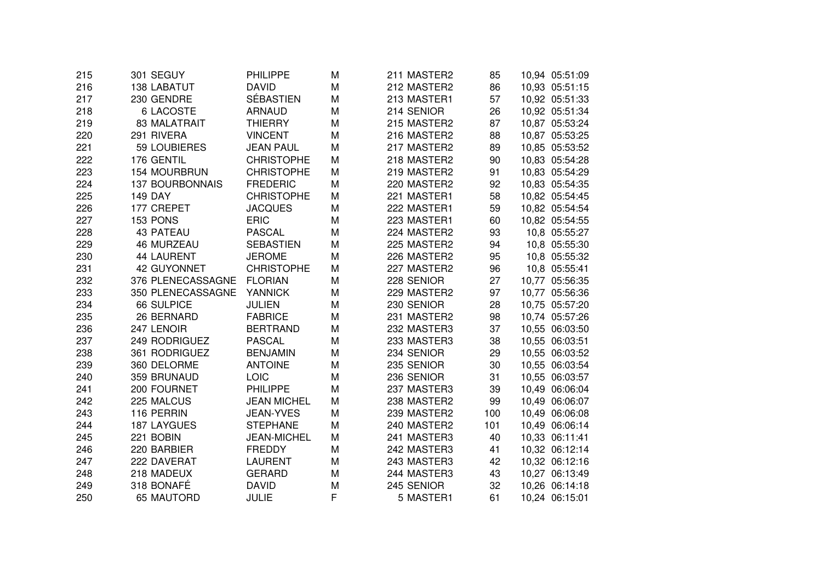| 215 | 301 SEGUY              | PHILIPPE           | M | 211 MASTER2 | 85  | 10,94 05:51:09 |
|-----|------------------------|--------------------|---|-------------|-----|----------------|
| 216 | <b>138 LABATUT</b>     | <b>DAVID</b>       | M | 212 MASTER2 | 86  | 10,93 05:51:15 |
| 217 | 230 GENDRE             | SÉBASTIEN          | M | 213 MASTER1 | 57  | 10,92 05:51:33 |
| 218 | <b>6 LACOSTE</b>       | <b>ARNAUD</b>      | M | 214 SENIOR  | 26  | 10,92 05:51:34 |
| 219 | 83 MALATRAIT           | <b>THIERRY</b>     | M | 215 MASTER2 | 87  | 10,87 05:53:24 |
| 220 | 291 RIVERA             | <b>VINCENT</b>     | M | 216 MASTER2 | 88  | 10,87 05:53:25 |
| 221 | 59 LOUBIERES           | <b>JEAN PAUL</b>   | M | 217 MASTER2 | 89  | 10,85 05:53:52 |
| 222 | 176 GENTIL             | <b>CHRISTOPHE</b>  | M | 218 MASTER2 | 90  | 10,83 05:54:28 |
| 223 | <b>154 MOURBRUN</b>    | <b>CHRISTOPHE</b>  | M | 219 MASTER2 | 91  | 10,83 05:54:29 |
| 224 | <b>137 BOURBONNAIS</b> | <b>FREDERIC</b>    | M | 220 MASTER2 | 92  | 10,83 05:54:35 |
| 225 | <b>149 DAY</b>         | <b>CHRISTOPHE</b>  | M | 221 MASTER1 | 58  | 10,82 05:54:45 |
| 226 | 177 CREPET             | <b>JACQUES</b>     | М | 222 MASTER1 | 59  | 10,82 05:54:54 |
| 227 | 153 PONS               | <b>ERIC</b>        | M | 223 MASTER1 | 60  | 10,82 05:54:55 |
| 228 | <b>43 PATEAU</b>       | <b>PASCAL</b>      | M | 224 MASTER2 | 93  | 10,8 05:55:27  |
| 229 | <b>46 MURZEAU</b>      | <b>SEBASTIEN</b>   | M | 225 MASTER2 | 94  | 10,8 05:55:30  |
| 230 | <b>44 LAURENT</b>      | <b>JEROME</b>      | M | 226 MASTER2 | 95  | 10,8 05:55:32  |
| 231 | 42 GUYONNET            | <b>CHRISTOPHE</b>  | M | 227 MASTER2 | 96  | 10,8 05:55:41  |
| 232 | 376 PLENECASSAGNE      | <b>FLORIAN</b>     | M | 228 SENIOR  | 27  | 10,77 05:56:35 |
| 233 | 350 PLENECASSAGNE      | <b>YANNICK</b>     | M | 229 MASTER2 | 97  | 10,77 05:56:36 |
| 234 | <b>66 SULPICE</b>      | <b>JULIEN</b>      | M | 230 SENIOR  | 28  | 10,75 05:57:20 |
| 235 | 26 BERNARD             | <b>FABRICE</b>     | M | 231 MASTER2 | 98  | 10,74 05:57:26 |
| 236 | 247 LENOIR             | <b>BERTRAND</b>    | M | 232 MASTER3 | 37  | 10,55 06:03:50 |
| 237 | 249 RODRIGUEZ          | <b>PASCAL</b>      | M | 233 MASTER3 | 38  | 10,55 06:03:51 |
| 238 | 361 RODRIGUEZ          | <b>BENJAMIN</b>    | M | 234 SENIOR  | 29  | 10,55 06:03:52 |
| 239 | 360 DELORME            | <b>ANTOINE</b>     | M | 235 SENIOR  | 30  | 10,55 06:03:54 |
| 240 | 359 BRUNAUD            | LOIC               | M | 236 SENIOR  | 31  | 10,55 06:03:57 |
| 241 | 200 FOURNET            | <b>PHILIPPE</b>    | M | 237 MASTER3 | 39  | 10,49 06:06:04 |
| 242 | 225 MALCUS             | <b>JEAN MICHEL</b> | M | 238 MASTER2 | 99  | 10,49 06:06:07 |
| 243 | 116 PERRIN             | <b>JEAN-YVES</b>   | M | 239 MASTER2 | 100 | 10,49 06:06:08 |
| 244 | <b>187 LAYGUES</b>     | <b>STEPHANE</b>    | M | 240 MASTER2 | 101 | 10,49 06:06:14 |
| 245 | 221 BOBIN              | <b>JEAN-MICHEL</b> | M | 241 MASTER3 | 40  | 10,33 06:11:41 |
| 246 | 220 BARBIER            | <b>FREDDY</b>      | M | 242 MASTER3 | 41  | 10,32 06:12:14 |
| 247 | 222 DAVERAT            | <b>LAURENT</b>     | M | 243 MASTER3 | 42  | 10,32 06:12:16 |
| 248 | 218 MADEUX             | <b>GERARD</b>      | M | 244 MASTER3 | 43  | 10,27 06:13:49 |
| 249 | 318 BONAFÉ             | <b>DAVID</b>       | M | 245 SENIOR  | 32  | 10,26 06:14:18 |
| 250 | 65 MAUTORD             | <b>JULIE</b>       | F | 5 MASTER1   | 61  | 10,24 06:15:01 |
|     |                        |                    |   |             |     |                |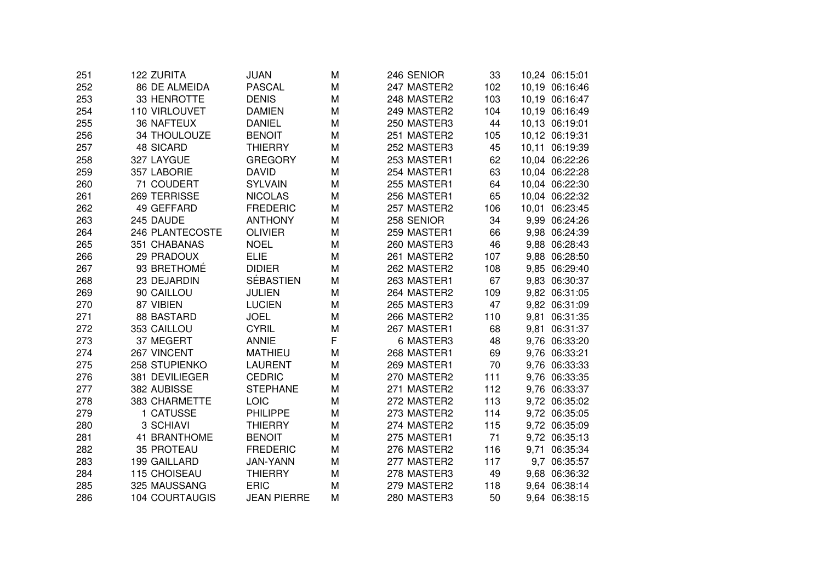| 251 | 122 ZURITA            | JUAN               | M | 246 SENIOR  | 33  |       | 10,24 06:15:01 |
|-----|-----------------------|--------------------|---|-------------|-----|-------|----------------|
| 252 | <b>86 DE ALMEIDA</b>  | <b>PASCAL</b>      | M | 247 MASTER2 | 102 |       | 10,19 06:16:46 |
| 253 | 33 HENROTTE           | <b>DENIS</b>       | M | 248 MASTER2 | 103 |       | 10,19 06:16:47 |
| 254 | 110 VIRLOUVET         | <b>DAMIEN</b>      | M | 249 MASTER2 | 104 |       | 10,19 06:16:49 |
| 255 | <b>36 NAFTEUX</b>     | <b>DANIEL</b>      | M | 250 MASTER3 | 44  |       | 10,13 06:19:01 |
| 256 | 34 THOULOUZE          | <b>BENOIT</b>      | M | 251 MASTER2 | 105 |       | 10,12 06:19:31 |
| 257 | <b>48 SICARD</b>      | <b>THIERRY</b>     | M | 252 MASTER3 | 45  | 10,11 | 06:19:39       |
| 258 | 327 LAYGUE            | <b>GREGORY</b>     | M | 253 MASTER1 | 62  |       | 10,04 06:22:26 |
| 259 | 357 LABORIE           | <b>DAVID</b>       | M | 254 MASTER1 | 63  |       | 10,04 06:22:28 |
| 260 | 71 COUDERT            | <b>SYLVAIN</b>     | M | 255 MASTER1 | 64  |       | 10,04 06:22:30 |
| 261 | 269 TERRISSE          | <b>NICOLAS</b>     | M | 256 MASTER1 | 65  |       | 10,04 06:22:32 |
| 262 | 49 GEFFARD            | <b>FREDERIC</b>    | M | 257 MASTER2 | 106 |       | 10,01 06:23:45 |
| 263 | 245 DAUDE             | <b>ANTHONY</b>     | M | 258 SENIOR  | 34  |       | 9,99 06:24:26  |
| 264 | 246 PLANTECOSTE       | <b>OLIVIER</b>     | M | 259 MASTER1 | 66  |       | 9,98 06:24:39  |
| 265 | 351 CHABANAS          | <b>NOEL</b>        | M | 260 MASTER3 | 46  |       | 9,88 06:28:43  |
| 266 | 29 PRADOUX            | <b>ELIE</b>        | M | 261 MASTER2 | 107 |       | 9,88 06:28:50  |
| 267 | 93 BRETHOMÉ           | <b>DIDIER</b>      | M | 262 MASTER2 | 108 |       | 9,85 06:29:40  |
| 268 | 23 DEJARDIN           | <b>SÉBASTIEN</b>   | M | 263 MASTER1 | 67  |       | 9,83 06:30:37  |
| 269 | 90 CAILLOU            | <b>JULIEN</b>      | M | 264 MASTER2 | 109 |       | 9,82 06:31:05  |
| 270 | 87 VIBIEN             | <b>LUCIEN</b>      | M | 265 MASTER3 | 47  |       | 9,82 06:31:09  |
| 271 | 88 BASTARD            | <b>JOEL</b>        | M | 266 MASTER2 | 110 | 9,81  | 06:31:35       |
| 272 | 353 CAILLOU           | <b>CYRIL</b>       | M | 267 MASTER1 | 68  | 9,81  | 06:31:37       |
| 273 | 37 MEGERT             | <b>ANNIE</b>       | F | 6 MASTER3   | 48  |       | 9,76 06:33:20  |
| 274 | 267 VINCENT           | <b>MATHIEU</b>     | M | 268 MASTER1 | 69  |       | 9,76 06:33:21  |
| 275 | 258 STUPIENKO         | <b>LAURENT</b>     | M | 269 MASTER1 | 70  |       | 9,76 06:33:33  |
| 276 | 381 DEVILIEGER        | <b>CEDRIC</b>      | M | 270 MASTER2 | 111 |       | 9,76 06:33:35  |
| 277 | 382 AUBISSE           | <b>STEPHANE</b>    | M | 271 MASTER2 | 112 |       | 9,76 06:33:37  |
| 278 | 383 CHARMETTE         | LOIC               | M | 272 MASTER2 | 113 |       | 9,72 06:35:02  |
| 279 | 1 CATUSSE             | <b>PHILIPPE</b>    | M | 273 MASTER2 | 114 |       | 9,72 06:35:05  |
| 280 | 3 SCHIAVI             | <b>THIERRY</b>     | M | 274 MASTER2 | 115 |       | 9,72 06:35:09  |
| 281 | 41 BRANTHOME          | <b>BENOIT</b>      | M | 275 MASTER1 | 71  |       | 9,72 06:35:13  |
| 282 | <b>35 PROTEAU</b>     | <b>FREDERIC</b>    | M | 276 MASTER2 | 116 | 9,71  | 06:35:34       |
| 283 | 199 GAILLARD          | <b>JAN-YANN</b>    | M | 277 MASTER2 | 117 |       | 9,7 06:35:57   |
| 284 | 115 CHOISEAU          | <b>THIERRY</b>     | M | 278 MASTER3 | 49  |       | 9,68 06:36:32  |
| 285 | 325 MAUSSANG          | <b>ERIC</b>        | M | 279 MASTER2 | 118 |       | 9,64 06:38:14  |
| 286 | <b>104 COURTAUGIS</b> | <b>JEAN PIERRE</b> | M | 280 MASTER3 | 50  |       | 9,64 06:38:15  |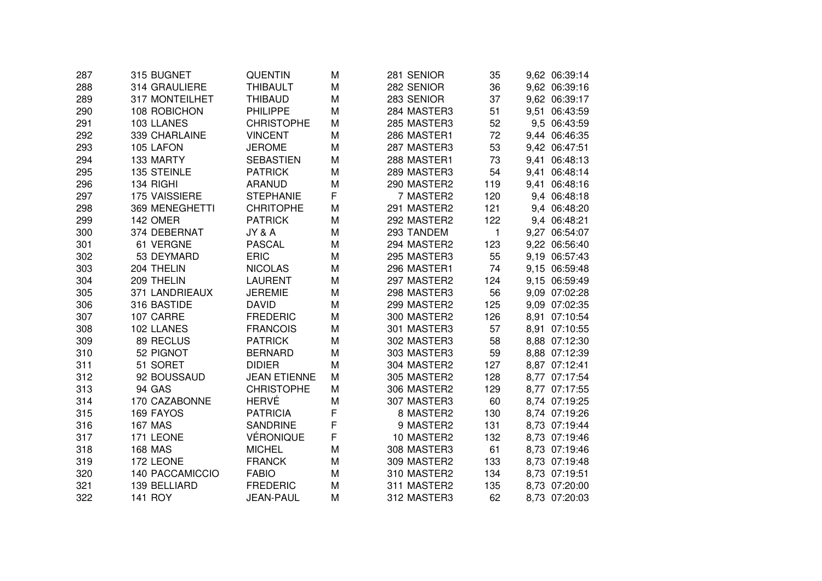| 287 | 315 BUGNET            | QUENTIN             | M | 281 SENIOR  | 35           | 9,62 06:39:14 |          |
|-----|-----------------------|---------------------|---|-------------|--------------|---------------|----------|
| 288 | 314 GRAULIERE         | <b>THIBAULT</b>     | M | 282 SENIOR  | 36           | 9,62 06:39:16 |          |
| 289 | 317 MONTEILHET        | <b>THIBAUD</b>      | M | 283 SENIOR  | 37           | 9,62 06:39:17 |          |
| 290 | 108 ROBICHON          | <b>PHILIPPE</b>     | M | 284 MASTER3 | 51           | 9,51 06:43:59 |          |
| 291 | 103 LLANES            | <b>CHRISTOPHE</b>   | M | 285 MASTER3 | 52           | 9,5 06:43:59  |          |
| 292 | 339 CHARLAINE         | <b>VINCENT</b>      | M | 286 MASTER1 | 72           | 9,44 06:46:35 |          |
| 293 | 105 LAFON             | <b>JEROME</b>       | M | 287 MASTER3 | 53           | 9,42 06:47:51 |          |
| 294 | 133 MARTY             | <b>SEBASTIEN</b>    | M | 288 MASTER1 | 73           | 9,41          | 06:48:13 |
| 295 | 135 STEINLE           | <b>PATRICK</b>      | M | 289 MASTER3 | 54           | 9.41          | 06:48:14 |
| 296 | 134 RIGHI             | <b>ARANUD</b>       | M | 290 MASTER2 | 119          | 9,41          | 06:48:16 |
| 297 | 175 VAISSIERE         | <b>STEPHANIE</b>    | F | 7 MASTER2   | 120          | 9,4 06:48:18  |          |
| 298 | <b>369 MENEGHETTI</b> | <b>CHRITOPHE</b>    | M | 291 MASTER2 | 121          | 9,4 06:48:20  |          |
| 299 | 142 OMER              | <b>PATRICK</b>      | M | 292 MASTER2 | 122          | 9,4 06:48:21  |          |
| 300 | 374 DEBERNAT          | JY & A              | M | 293 TANDEM  | $\mathbf{1}$ | 9,27 06:54:07 |          |
| 301 | 61 VERGNE             | <b>PASCAL</b>       | M | 294 MASTER2 | 123          | 9,22 06:56:40 |          |
| 302 | 53 DEYMARD            | <b>ERIC</b>         | M | 295 MASTER3 | 55           | 9,19 06:57:43 |          |
| 303 | 204 THELIN            | <b>NICOLAS</b>      | M | 296 MASTER1 | 74           | 9,15 06:59:48 |          |
| 304 | 209 THELIN            | <b>LAURENT</b>      | M | 297 MASTER2 | 124          | 9,15 06:59:49 |          |
| 305 | 371 LANDRIEAUX        | <b>JEREMIE</b>      | M | 298 MASTER3 | 56           | 9,09 07:02:28 |          |
| 306 | 316 BASTIDE           | <b>DAVID</b>        | M | 299 MASTER2 | 125          | 9,09 07:02:35 |          |
| 307 | 107 CARRE             | <b>FREDERIC</b>     | M | 300 MASTER2 | 126          | 8,91          | 07:10:54 |
| 308 | 102 LLANES            | <b>FRANCOIS</b>     | M | 301 MASTER3 | 57           | 8,91 07:10:55 |          |
| 309 | 89 RECLUS             | <b>PATRICK</b>      | M | 302 MASTER3 | 58           | 8,88 07:12:30 |          |
| 310 | 52 PIGNOT             | <b>BERNARD</b>      | М | 303 MASTER3 | 59           | 8,88 07:12:39 |          |
| 311 | 51 SORET              | <b>DIDIER</b>       | M | 304 MASTER2 | 127          | 8,87 07:12:41 |          |
| 312 | 92 BOUSSAUD           | <b>JEAN ETIENNE</b> | M | 305 MASTER2 | 128          | 8,77 07:17:54 |          |
| 313 | 94 GAS                | <b>CHRISTOPHE</b>   | M | 306 MASTER2 | 129          | 8,77 07:17:55 |          |
| 314 | 170 CAZABONNE         | <b>HERVÉ</b>        | M | 307 MASTER3 | 60           | 8,74 07:19:25 |          |
| 315 | 169 FAYOS             | <b>PATRICIA</b>     | F | 8 MASTER2   | 130          | 8,74 07:19:26 |          |
| 316 | <b>167 MAS</b>        | <b>SANDRINE</b>     | F | 9 MASTER2   | 131          | 8,73 07:19:44 |          |
| 317 | 171 LEONE             | VÉRONIQUE           | F | 10 MASTER2  | 132          | 8,73 07:19:46 |          |
| 318 | <b>168 MAS</b>        | <b>MICHEL</b>       | М | 308 MASTER3 | 61           | 8,73 07:19:46 |          |
| 319 | 172 LEONE             | <b>FRANCK</b>       | M | 309 MASTER2 | 133          | 8,73 07:19:48 |          |
| 320 | 140 PACCAMICCIO       | <b>FABIO</b>        | M | 310 MASTER2 | 134          | 8,73 07:19:51 |          |
| 321 | 139 BELLIARD          | <b>FREDERIC</b>     | M | 311 MASTER2 | 135          | 8,73 07:20:00 |          |
| 322 | <b>141 ROY</b>        | <b>JEAN-PAUL</b>    | M | 312 MASTER3 | 62           | 8,73 07:20:03 |          |